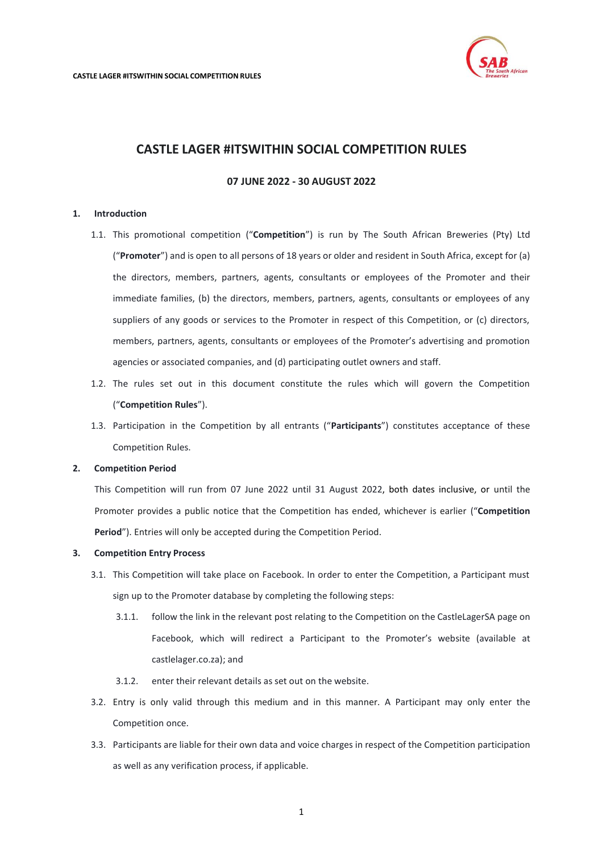

# **07 JUNE 2022 - 30 AUGUST 2022**

## <span id="page-0-0"></span>**1. Introduction**

- 1.1. This promotional competition ("**Competition**") is run by The South African Breweries (Pty) Ltd ("**Promoter**") and is open to all persons of 18 years or older and resident in South Africa, except for (a) the directors, members, partners, agents, consultants or employees of the Promoter and their immediate families, (b) the directors, members, partners, agents, consultants or employees of any suppliers of any goods or services to the Promoter in respect of this Competition, or (c) directors, members, partners, agents, consultants or employees of the Promoter's advertising and promotion agencies or associated companies, and (d) participating outlet owners and staff.
- 1.2. The rules set out in this document constitute the rules which will govern the Competition ("**Competition Rules**").
- 1.3. Participation in the Competition by all entrants ("**Participants**") constitutes acceptance of these Competition Rules.

#### **2. Competition Period**

This Competition will run from 07 June 2022 until 31 August 2022, both dates inclusive, or until the Promoter provides a public notice that the Competition has ended, whichever is earlier ("**Competition Period**"). Entries will only be accepted during the Competition Period.

#### **3. Competition Entry Process**

- 3.1. This Competition will take place on Facebook. In order to enter the Competition, a Participant must sign up to the Promoter database by completing the following steps:
	- 3.1.1. follow the link in the relevant post relating to the Competition on the CastleLagerSA page on Facebook, which will redirect a Participant to the Promoter's website (available at castlelager.co.za); and
	- 3.1.2. enter their relevant details as set out on the website.
- 3.2. Entry is only valid through this medium and in this manner. A Participant may only enter the Competition once.
- 3.3. Participants are liable for their own data and voice charges in respect of the Competition participation as well as any verification process, if applicable.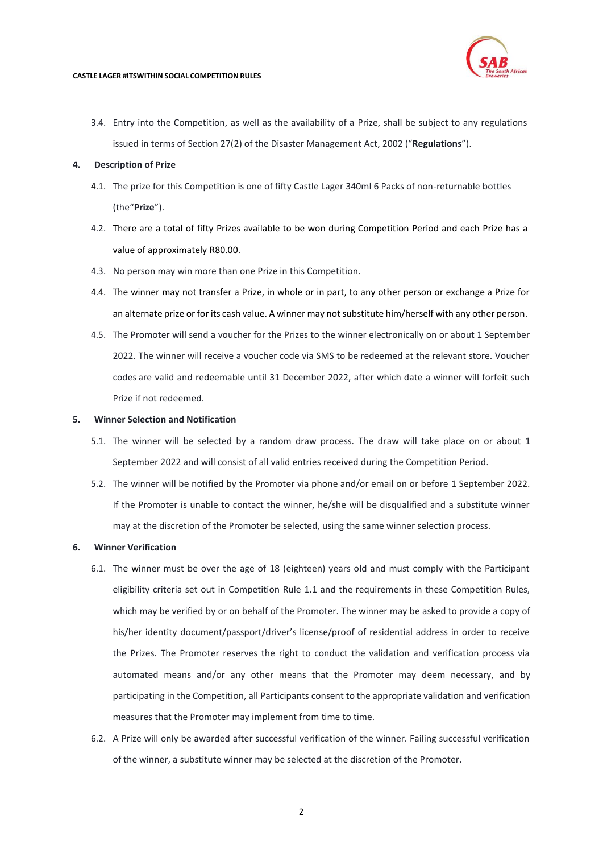

3.4. Entry into the Competition, as well as the availability of a Prize, shall be subject to any regulations issued in terms of Section 27(2) of the Disaster Management Act, 2002 ("**Regulations**").

# **4. Description of Prize**

- 4.1. The prize for this Competition is one of fifty Castle Lager 340ml 6 Packs of non-returnable bottles (the"**Prize**").
- 4.2. There are a total of fifty Prizes available to be won during Competition Period and each Prize has a value of approximately R80.00.
- 4.3. No person may win more than one Prize in this Competition.
- 4.4. The winner may not transfer a Prize, in whole or in part, to any other person or exchange a Prize for an alternate prize or for its cash value. A winner may not substitute him/herself with any other person.
- 4.5. The Promoter will send a voucher for the Prizes to the winner electronically on or about 1 September 2022. The winner will receive a voucher code via SMS to be redeemed at the relevant store. Voucher codes are valid and redeemable until 31 December 2022, after which date a winner will forfeit such Prize if not redeemed.

# **5. Winner Selection and Notification**

- 5.1. The winner will be selected by a random draw process. The draw will take place on or about 1 September 2022 and will consist of all valid entries received during the Competition Period.
- 5.2. The winner will be notified by the Promoter via phone and/or email on or before 1 September 2022. If the Promoter is unable to contact the winner, he/she will be disqualified and a substitute winner may at the discretion of the Promoter be selected, using the same winner selection process.

# **6. Winner Verification**

- 6.1. The winner must be over the age of 18 (eighteen) years old and must comply with the Participant eligibility criteria set out in Competition Rule [1.1 a](#page-0-0)nd the requirements in these Competition Rules, which may be verified by or on behalf of the Promoter. The winner may be asked to provide a copy of his/her identity document/passport/driver's license/proof of residential address in order to receive the Prizes. The Promoter reserves the right to conduct the validation and verification process via automated means and/or any other means that the Promoter may deem necessary, and by participating in the Competition, all Participants consent to the appropriate validation and verification measures that the Promoter may implement from time to time.
- 6.2. A Prize will only be awarded after successful verification of the winner. Failing successful verification of the winner, a substitute winner may be selected at the discretion of the Promoter.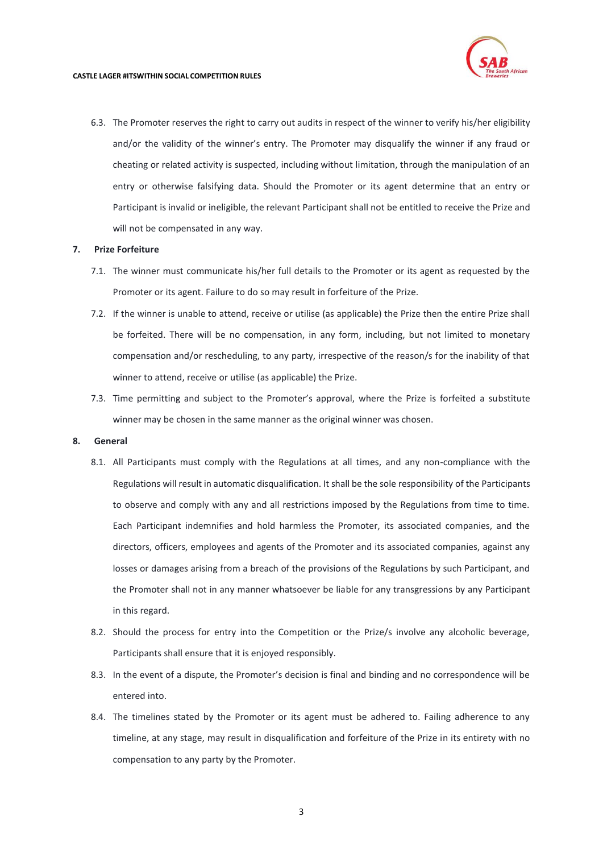

6.3. The Promoter reserves the right to carry out audits in respect of the winner to verify his/her eligibility and/or the validity of the winner's entry. The Promoter may disqualify the winner if any fraud or cheating or related activity is suspected, including without limitation, through the manipulation of an entry or otherwise falsifying data. Should the Promoter or its agent determine that an entry or Participant is invalid or ineligible, the relevant Participant shall not be entitled to receive the Prize and will not be compensated in any way.

### **7. Prize Forfeiture**

- 7.1. The winner must communicate his/her full details to the Promoter or its agent as requested by the Promoter or its agent. Failure to do so may result in forfeiture of the Prize.
- 7.2. If the winner is unable to attend, receive or utilise (as applicable) the Prize then the entire Prize shall be forfeited. There will be no compensation, in any form, including, but not limited to monetary compensation and/or rescheduling, to any party, irrespective of the reason/s for the inability of that winner to attend, receive or utilise (as applicable) the Prize.
- 7.3. Time permitting and subject to the Promoter's approval, where the Prize is forfeited a substitute winner may be chosen in the same manner as the original winner was chosen.

# **8. General**

- 8.1. All Participants must comply with the Regulations at all times, and any non-compliance with the Regulations will result in automatic disqualification. It shall be the sole responsibility of the Participants to observe and comply with any and all restrictions imposed by the Regulations from time to time. Each Participant indemnifies and hold harmless the Promoter, its associated companies, and the directors, officers, employees and agents of the Promoter and its associated companies, against any losses or damages arising from a breach of the provisions of the Regulations by such Participant, and the Promoter shall not in any manner whatsoever be liable for any transgressions by any Participant in this regard.
- 8.2. Should the process for entry into the Competition or the Prize/s involve any alcoholic beverage, Participants shall ensure that it is enjoyed responsibly.
- 8.3. In the event of a dispute, the Promoter's decision is final and binding and no correspondence will be entered into.
- 8.4. The timelines stated by the Promoter or its agent must be adhered to. Failing adherence to any timeline, at any stage, may result in disqualification and forfeiture of the Prize in its entirety with no compensation to any party by the Promoter.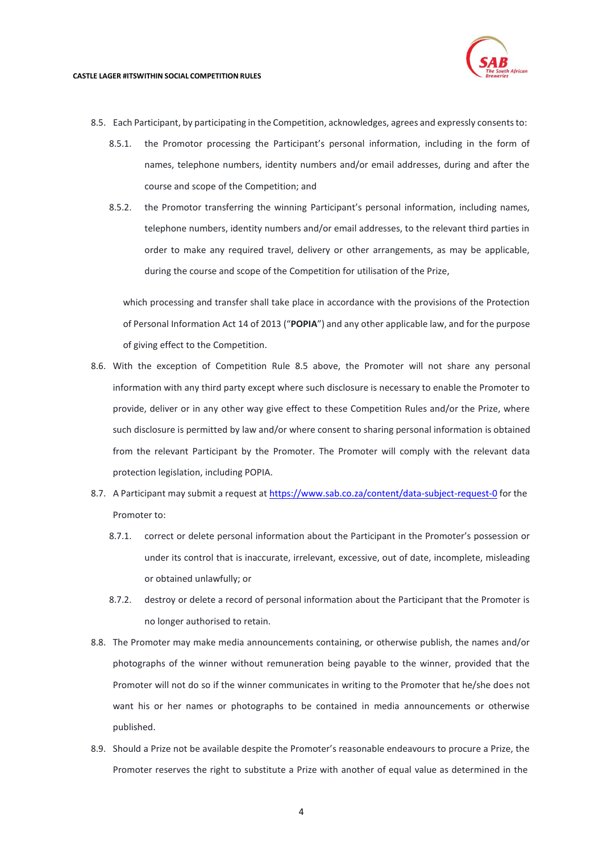

- <span id="page-3-0"></span>8.5. Each Participant, by participating in the Competition, acknowledges, agrees and expressly consentsto:
	- 8.5.1. the Promotor processing the Participant's personal information, including in the form of names, telephone numbers, identity numbers and/or email addresses, during and after the course and scope of the Competition; and
	- 8.5.2. the Promotor transferring the winning Participant's personal information, including names, telephone numbers, identity numbers and/or email addresses, to the relevant third parties in order to make any required travel, delivery or other arrangements, as may be applicable, during the course and scope of the Competition for utilisation of the Prize,

which processing and transfer shall take place in accordance with the provisions of the Protection of Personal Information Act 14 of 2013 ("**POPIA**") and any other applicable law, and for the purpose of giving effect to the Competition.

- 8.6. With the exception of Competition Rule [8.5](#page-3-0) above, the Promoter will not share any personal information with any third party except where such disclosure is necessary to enable the Promoter to provide, deliver or in any other way give effect to these Competition Rules and/or the Prize, where such disclosure is permitted by law and/or where consent to sharing personal information is obtained from the relevant Participant by the Promoter. The Promoter will comply with the relevant data protection legislation, including POPIA.
- 8.7. A Participant may submit a request at <https://www.sab.co.za/content/data-subject-request-0> for the Promoter to:
	- 8.7.1. correct or delete personal information about the Participant in the Promoter's possession or under its control that is inaccurate, irrelevant, excessive, out of date, incomplete, misleading or obtained unlawfully; or
	- 8.7.2. destroy or delete a record of personal information about the Participant that the Promoter is no longer authorised to retain.
- 8.8. The Promoter may make media announcements containing, or otherwise publish, the names and/or photographs of the winner without remuneration being payable to the winner, provided that the Promoter will not do so if the winner communicates in writing to the Promoter that he/she does not want his or her names or photographs to be contained in media announcements or otherwise published.
- 8.9. Should a Prize not be available despite the Promoter's reasonable endeavours to procure a Prize, the Promoter reserves the right to substitute a Prize with another of equal value as determined in the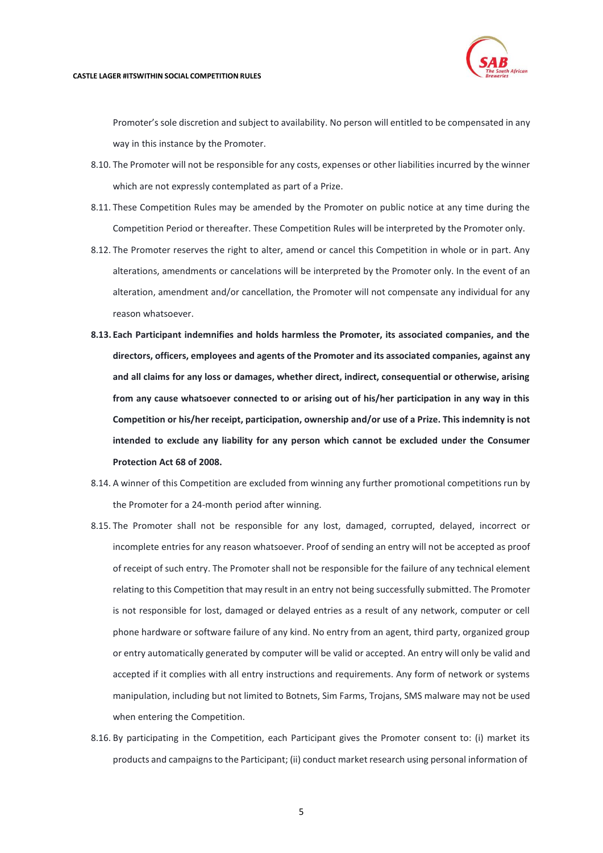

Promoter's sole discretion and subject to availability. No person will entitled to be compensated in any way in this instance by the Promoter.

- 8.10. The Promoter will not be responsible for any costs, expenses or other liabilities incurred by the winner which are not expressly contemplated as part of a Prize.
- 8.11. These Competition Rules may be amended by the Promoter on public notice at any time during the Competition Period or thereafter. These Competition Rules will be interpreted by the Promoter only.
- 8.12. The Promoter reserves the right to alter, amend or cancel this Competition in whole or in part. Any alterations, amendments or cancelations will be interpreted by the Promoter only. In the event of an alteration, amendment and/or cancellation, the Promoter will not compensate any individual for any reason whatsoever.
- **8.13. Each Participant indemnifies and holds harmless the Promoter, its associated companies, and the directors, officers, employees and agents of the Promoter and its associated companies, against any and all claims for any loss or damages, whether direct, indirect, consequential or otherwise, arising from any cause whatsoever connected to or arising out of his/her participation in any way in this Competition or his/her receipt, participation, ownership and/or use of a Prize. This indemnity is not intended to exclude any liability for any person which cannot be excluded under the Consumer Protection Act 68 of 2008.**
- 8.14. A winner of this Competition are excluded from winning any further promotional competitions run by the Promoter for a 24-month period after winning.
- 8.15. The Promoter shall not be responsible for any lost, damaged, corrupted, delayed, incorrect or incomplete entries for any reason whatsoever. Proof of sending an entry will not be accepted as proof of receipt of such entry. The Promoter shall not be responsible for the failure of any technical element relating to this Competition that may result in an entry not being successfully submitted. The Promoter is not responsible for lost, damaged or delayed entries as a result of any network, computer or cell phone hardware or software failure of any kind. No entry from an agent, third party, organized group or entry automatically generated by computer will be valid or accepted. An entry will only be valid and accepted if it complies with all entry instructions and requirements. Any form of network or systems manipulation, including but not limited to Botnets, Sim Farms, Trojans, SMS malware may not be used when entering the Competition.
- 8.16. By participating in the Competition, each Participant gives the Promoter consent to: (i) market its products and campaignsto the Participant; (ii) conduct market research using personal information of